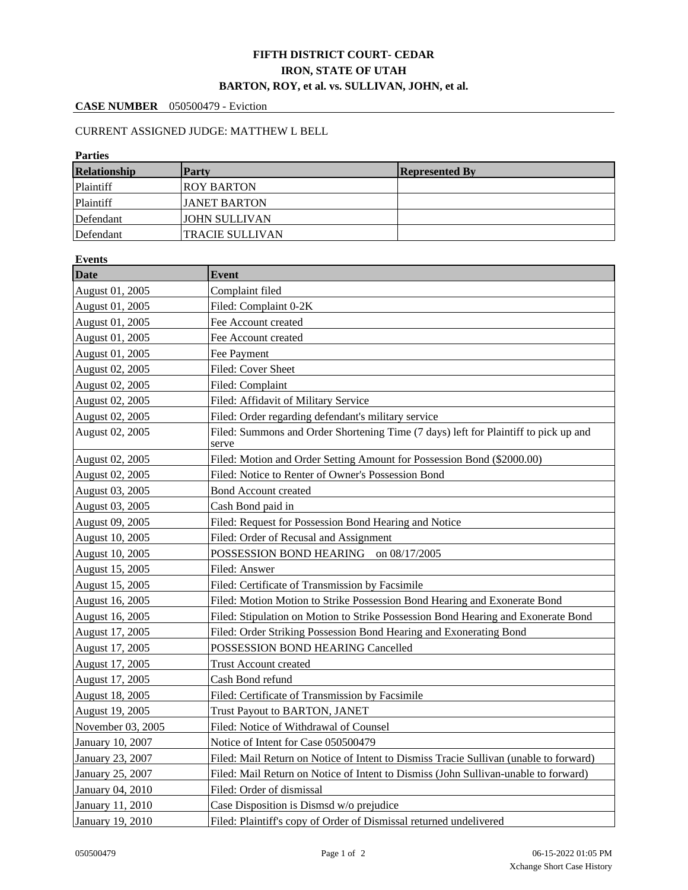## **FIFTH DISTRICT COURT- CEDAR IRON, STATE OF UTAH BARTON, ROY, et al. vs. SULLIVAN, JOHN, et al.**

## **CASE NUMBER** 050500479 - Eviction

## CURRENT ASSIGNED JUDGE: MATTHEW L BELL

| <b>Parties</b>      |                        |                       |  |  |  |  |
|---------------------|------------------------|-----------------------|--|--|--|--|
| <b>Relationship</b> | <b>Party</b>           | <b>Represented By</b> |  |  |  |  |
| Plaintiff           | <b>ROY BARTON</b>      |                       |  |  |  |  |
| Plaintiff           | <b>JANET BARTON</b>    |                       |  |  |  |  |
| Defendant           | <b>JOHN SULLIVAN</b>   |                       |  |  |  |  |
| Defendant           | <b>TRACIE SULLIVAN</b> |                       |  |  |  |  |

| <b>Events</b>        |                                                                                                                                                                                                                                                                                                                                               |  |  |  |
|----------------------|-----------------------------------------------------------------------------------------------------------------------------------------------------------------------------------------------------------------------------------------------------------------------------------------------------------------------------------------------|--|--|--|
| <b>Date</b>          | <b>Event</b>                                                                                                                                                                                                                                                                                                                                  |  |  |  |
| August 01, 2005      | Complaint filed                                                                                                                                                                                                                                                                                                                               |  |  |  |
| August 01, 2005      | Filed: Complaint 0-2K                                                                                                                                                                                                                                                                                                                         |  |  |  |
| August 01, 2005      | Fee Account created                                                                                                                                                                                                                                                                                                                           |  |  |  |
| August 01, 2005      | Fee Account created                                                                                                                                                                                                                                                                                                                           |  |  |  |
| August 01, 2005      | Fee Payment                                                                                                                                                                                                                                                                                                                                   |  |  |  |
| August 02, 2005      | Filed: Cover Sheet                                                                                                                                                                                                                                                                                                                            |  |  |  |
| August 02, 2005      | Filed: Complaint                                                                                                                                                                                                                                                                                                                              |  |  |  |
| August 02, 2005      | Filed: Affidavit of Military Service                                                                                                                                                                                                                                                                                                          |  |  |  |
| August 02, 2005      | Filed: Order regarding defendant's military service                                                                                                                                                                                                                                                                                           |  |  |  |
| August 02, 2005      | Filed: Summons and Order Shortening Time (7 days) left for Plaintiff to pick up and<br>serve                                                                                                                                                                                                                                                  |  |  |  |
| August 02, 2005      | Filed: Motion and Order Setting Amount for Possession Bond (\$2000.00)                                                                                                                                                                                                                                                                        |  |  |  |
| August 02, 2005      | Filed: Notice to Renter of Owner's Possession Bond                                                                                                                                                                                                                                                                                            |  |  |  |
| August 03, 2005      | <b>Bond Account created</b>                                                                                                                                                                                                                                                                                                                   |  |  |  |
| August 03, 2005      | Cash Bond paid in                                                                                                                                                                                                                                                                                                                             |  |  |  |
| August 09, 2005      | Filed: Request for Possession Bond Hearing and Notice                                                                                                                                                                                                                                                                                         |  |  |  |
| August 10, 2005      | Filed: Order of Recusal and Assignment                                                                                                                                                                                                                                                                                                        |  |  |  |
| August 10, 2005      | POSSESSION BOND HEARING on 08/17/2005                                                                                                                                                                                                                                                                                                         |  |  |  |
| August 15, 2005      | Filed: Answer                                                                                                                                                                                                                                                                                                                                 |  |  |  |
| August 15, 2005      | Filed: Certificate of Transmission by Facsimile                                                                                                                                                                                                                                                                                               |  |  |  |
| August 16, 2005      | Filed: Motion Motion to Strike Possession Bond Hearing and Exonerate Bond                                                                                                                                                                                                                                                                     |  |  |  |
| August 16, 2005      | Filed: Stipulation on Motion to Strike Possession Bond Hearing and Exonerate Bond                                                                                                                                                                                                                                                             |  |  |  |
| August 17, 2005      | Filed: Order Striking Possession Bond Hearing and Exonerating Bond                                                                                                                                                                                                                                                                            |  |  |  |
| August 17, 2005      | POSSESSION BOND HEARING Cancelled                                                                                                                                                                                                                                                                                                             |  |  |  |
| August 17, 2005      | <b>Trust Account created</b>                                                                                                                                                                                                                                                                                                                  |  |  |  |
| August 17, 2005      | Cash Bond refund                                                                                                                                                                                                                                                                                                                              |  |  |  |
| August 18, 2005      | Filed: Certificate of Transmission by Facsimile                                                                                                                                                                                                                                                                                               |  |  |  |
| August 19, 2005      | Trust Payout to BARTON, JANET                                                                                                                                                                                                                                                                                                                 |  |  |  |
| November 03, 2005    | Filed: Notice of Withdrawal of Counsel                                                                                                                                                                                                                                                                                                        |  |  |  |
| January 10, 2007     | Notice of Intent for Case 050500479                                                                                                                                                                                                                                                                                                           |  |  |  |
| $\sim$ $\sim$ $\sim$ | $\mathbf{r}$<br>$\mathfrak{C}$ and $\mathfrak{C}$ and $\mathfrak{C}$ and $\mathfrak{C}$ and $\mathfrak{C}$ and $\mathfrak{C}$ and $\mathfrak{C}$ and $\mathfrak{C}$ and $\mathfrak{C}$ and $\mathfrak{C}$ and $\mathfrak{C}$ and $\mathfrak{C}$ and $\mathfrak{C}$ and $\mathfrak{C}$ and $\mathfrak{C}$ and $\mathfrak{C}$ a<br>$\mathbf{1}$ |  |  |  |